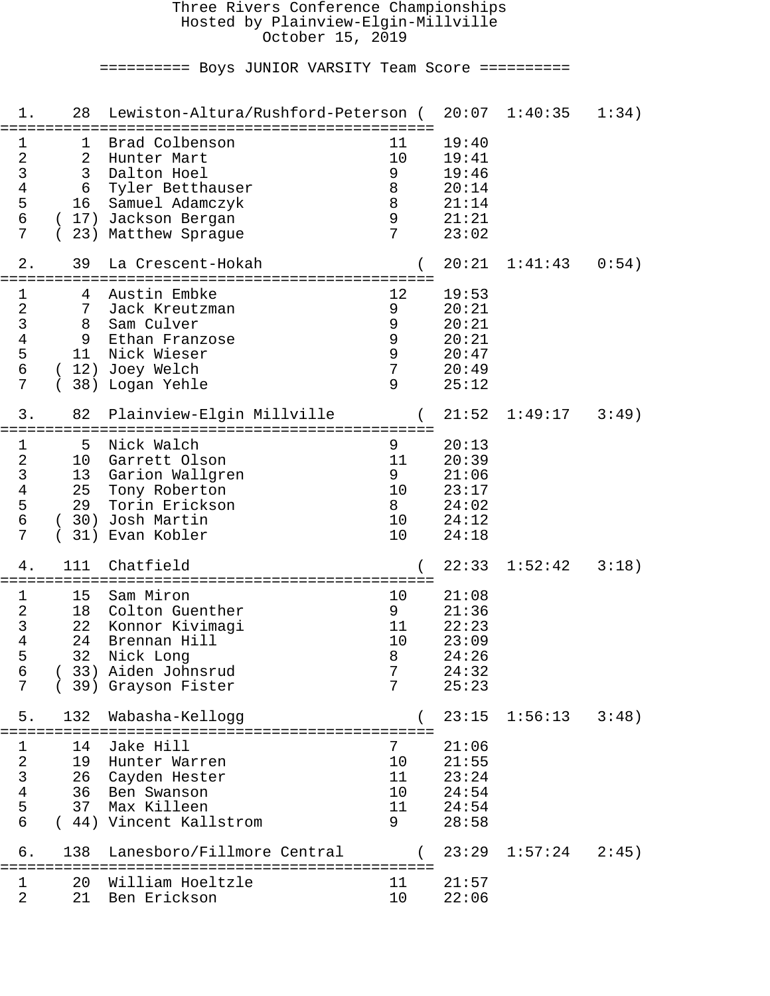#### Three Rivers Conference Championships Hosted by Plainview-Elgin-Millville October 15, 2019

========== Boys JUNIOR VARSITY Team Score ==========

| 1.                                                           | 28                               | Lewiston-Altura/Rushford-Peterson (                                                                                          |                                            | 20:07                                                       | 1:40:35 | 1:34) |
|--------------------------------------------------------------|----------------------------------|------------------------------------------------------------------------------------------------------------------------------|--------------------------------------------|-------------------------------------------------------------|---------|-------|
| 1<br>$\sqrt{2}$<br>3<br>4<br>5<br>$\epsilon$<br>7            | ı<br>2<br>3<br>6<br>16<br>23)    | Brad Colbenson<br>Hunter Mart<br>Dalton Hoel<br>Tyler Betthauser<br>Samuel Adamczyk<br>17) Jackson Bergan<br>Matthew Sprague | 11<br>10<br>9<br>8<br>8<br>9<br>7          | 19:40<br>19:41<br>19:46<br>20:14<br>21:14<br>21:21<br>23:02 |         |       |
| 2.                                                           | 39                               | La Crescent-Hokah                                                                                                            |                                            | 20:21                                                       | 1:41:43 | 0:54) |
| 1<br>$\sqrt{2}$<br>$\mathsf{3}$<br>4<br>5<br>$\epsilon$<br>7 | 4<br>7<br>8<br>9<br>11           | Austin Embke<br>Jack Kreutzman<br>Sam Culver<br>Ethan Franzose<br>Nick Wieser<br>(12) Joey Welch<br>38) Logan Yehle          | 12<br>9<br>9<br>9<br>$\mathsf 9$<br>7<br>9 | 19:53<br>20:21<br>20:21<br>20:21<br>20:47<br>20:49<br>25:12 |         |       |
| 3.                                                           | 82                               | Plainview-Elgin Millville                                                                                                    |                                            | 21:52                                                       | 1:49:17 | 3:49) |
| 1<br>$\sqrt{2}$<br>$\mathsf{3}$<br>4<br>5<br>$\epsilon$<br>7 | 5<br>10<br>13<br>25<br>29<br>31) | Nick Walch<br>Garrett Olson<br>Garion Wallgren<br>Tony Roberton<br>Torin Erickson<br>(30) Josh Martin<br>Evan Kobler         | 9<br>11<br>9<br>10<br>8<br>10<br>10        | 20:13<br>20:39<br>21:06<br>23:17<br>24:02<br>24:12<br>24:18 |         |       |
| 4.                                                           | 111                              | Chatfield                                                                                                                    |                                            | 22:33                                                       | 1:52:42 | 3:18) |
| 1<br>$\overline{2}$<br>$\mathsf{3}$<br>4<br>5<br>6<br>7      | 15<br>18<br>22<br>24<br>32       | Sam Miron<br>Colton Guenther<br>Konnor Kivimagi<br>Brennan Hill<br>Nick Long<br>33) Aiden Johnsrud<br>(39) Grayson Fister    | 10<br>9<br>11<br>10<br>8<br>7<br>7         | 21:08<br>21:36<br>22:23<br>23:09<br>24:26<br>24:32<br>25:23 |         |       |
| 5.                                                           | 132                              | Wabasha-Kellogg                                                                                                              |                                            | 23:15                                                       | 1:56:13 | 3:48) |
| 1<br>$\boldsymbol{2}$<br>$\frac{3}{4}$<br>$\frac{5}{6}$      | 14<br>19<br>26<br>36<br>37       | Jake Hill<br>Hunter Warren<br>Cayden Hester<br>Ben Swanson<br>Max Killeen<br>(44) Vincent Kallstrom                          | 7<br>10<br>11<br>10<br>11<br>9             | 21:06<br>21:55<br>23:24<br>24:54<br>24:54<br>28:58          |         |       |
| б.                                                           | 138                              | Lanesboro/Fillmore Central                                                                                                   |                                            | 23:29                                                       | 1:57:24 | 2:45) |
| 1<br>2                                                       | 20<br>21                         | William Hoeltzle<br>Ben Erickson                                                                                             | 11<br>10                                   | 21:57<br>22:06                                              |         |       |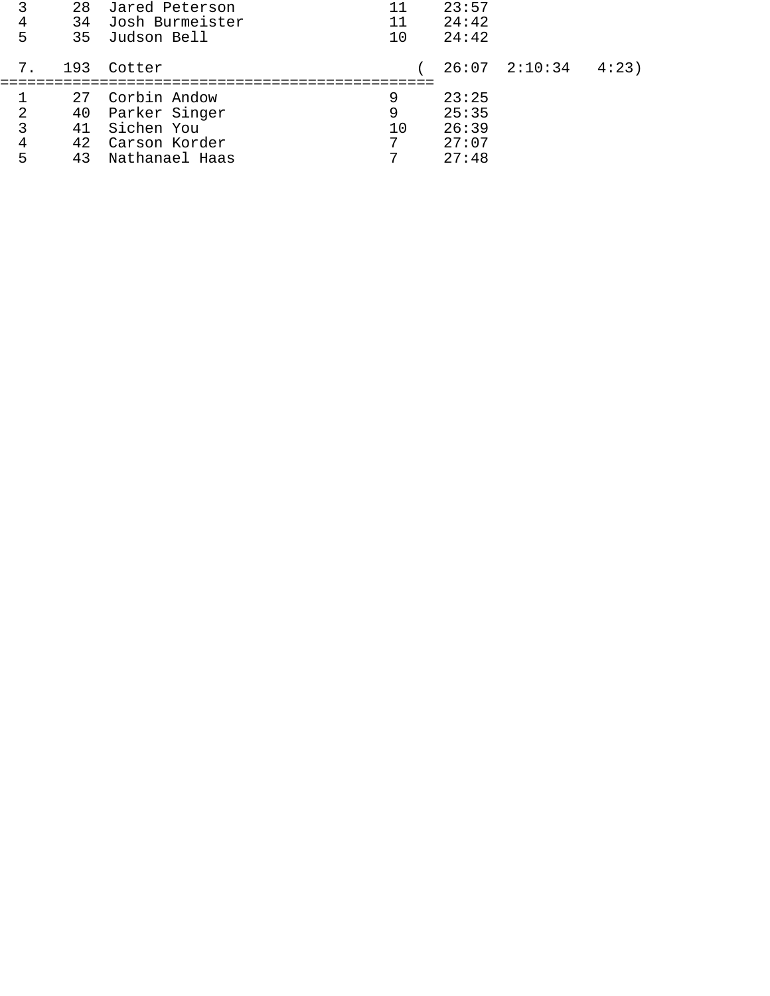| 3<br>4<br>5                                         | 34<br>35                    | 28 Jared Peterson<br>Josh Burmeister<br>Judson Bell                            | 11<br>11<br>10    | 23:57<br>24:42<br>24:42                   |                   |      |
|-----------------------------------------------------|-----------------------------|--------------------------------------------------------------------------------|-------------------|-------------------------------------------|-------------------|------|
| 7.                                                  | 193                         | Cotter                                                                         |                   |                                           | $26:07$ $2:10:34$ | 4:23 |
| $\overline{\mathbf{c}}$<br>$\overline{3}$<br>4<br>5 | 27<br>40<br>41<br>42.<br>43 | Corbin Andow<br>Parker Singer<br>Sichen You<br>Carson Korder<br>Nathanael Haas | 9<br>9<br>10<br>7 | 23:25<br>25:35<br>26:39<br>27:07<br>27:48 |                   |      |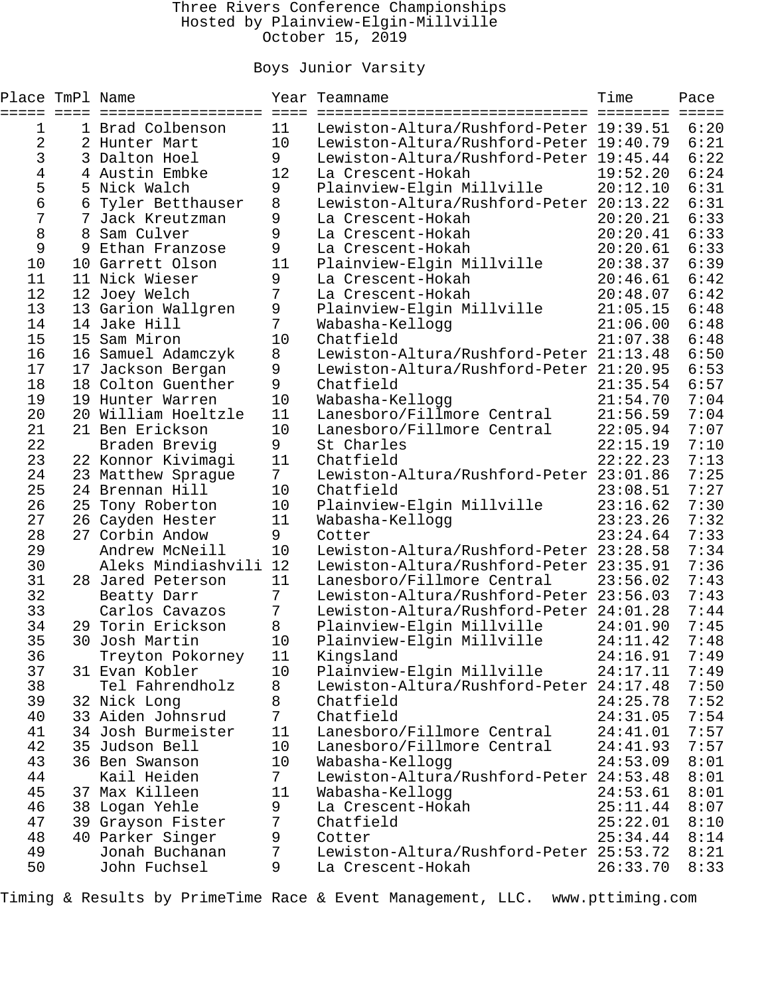### Three Rivers Conference Championships Hosted by Plainview-Elgin-Millville October 15, 2019

## Boys Junior Varsity

| Place TmPl Name |    | =================                    | $=$ $=$ $=$ $=$ | Year Teamname                                | Time<br>========     | Pace<br>$=$ $=$ $=$ $=$ |
|-----------------|----|--------------------------------------|-----------------|----------------------------------------------|----------------------|-------------------------|
| 1               |    | 1 Brad Colbenson                     | 11              | Lewiston-Altura/Rushford-Peter 19:39.51      |                      | 6:20                    |
| 2               |    | 2 Hunter Mart                        | 10              | Lewiston-Altura/Rushford-Peter 19:40.79      |                      | 6:21                    |
| 3               |    | 3 Dalton Hoel                        | 9               | Lewiston-Altura/Rushford-Peter 19:45.44      |                      | 6:22                    |
| 4               |    | 4 Austin Embke                       | 12              | La Crescent-Hokah                            | 19:52.20             | 6:24                    |
| 5               |    | 5 Nick Walch                         | 9               | Plainview-Elgin Millville                    | 20:12.10             | 6:31                    |
| 6               | 6  | Tyler Betthauser                     | 8               | Lewiston-Altura/Rushford-Peter 20:13.22      |                      | 6:31                    |
| 7               |    | Jack Kreutzman                       | 9               | La Crescent-Hokah                            | 20:20.21             | 6:33                    |
| 8               |    | 8 Sam Culver                         | 9               | La Crescent-Hokah                            | 20:20.41             | 6:33                    |
| 9               | 9  | Ethan Franzose                       | 9               | La Crescent-Hokah                            | 20:20.61             | 6:33                    |
| 10              |    | 10 Garrett Olson                     | 11              | Plainview-Elgin Millville                    | 20:38.37             | 6:39                    |
| 11              |    | 11 Nick Wieser                       | 9               | La Crescent-Hokah                            | 20:46.61             | 6:42                    |
| 12              |    | 12 Joey Welch                        | 7               | La Crescent-Hokah                            | 20:48.07             | 6:42                    |
| 13              |    | 13 Garion Wallgren                   | 9               | Plainview-Elgin Millville                    | 21:05.15             | 6:48                    |
| 14              |    | 14 Jake Hill                         | 7               | Wabasha-Kellogg                              | 21:06.00             | 6:48                    |
| 15              |    | 15 Sam Miron                         | 10              | Chatfield                                    | 21:07.38             | 6:48                    |
| 16              |    | 16 Samuel Adamczyk                   | 8               | Lewiston-Altura/Rushford-Peter 21:13.48      |                      | 6:50                    |
| 17              | 17 | Jackson Bergan                       | 9               | Lewiston-Altura/Rushford-Peter 21:20.95      |                      | 6:53                    |
| 18              |    | 18 Colton Guenther                   | 9               | Chatfield                                    | 21:35.54             | 6:57                    |
| 19              |    | 19 Hunter Warren                     | 10              | Wabasha-Kellogg                              | 21:54.70             | 7:04                    |
| 20              |    | 20 William Hoeltzle                  | 11              | Lanesboro/Fillmore Central                   | 21:56.59             | 7:04                    |
| 21              |    | 21 Ben Erickson                      | 10              | Lanesboro/Fillmore Central                   | 22:05.94             | 7:07                    |
| 22              |    | Braden Brevig                        | 9               | St Charles                                   | 22:15.19             | 7:10                    |
| 23              |    | 22 Konnor Kivimagi                   | 11              | Chatfield                                    | 22:22.23             | 7:13                    |
| 24<br>25        |    | 23 Matthew Sprague                   | $7\overline{ }$ | Lewiston-Altura/Rushford-Peter 23:01.86      |                      | 7:25<br>7:27            |
| 26              |    | 24 Brennan Hill                      | 10              | Chatfield                                    | 23:08.51<br>23:16.62 | 7:30                    |
| 27              |    | 25 Tony Roberton<br>26 Cayden Hester | 10<br>11        | Plainview-Elgin Millville<br>Wabasha-Kellogg | 23:23.26             | 7:32                    |
| 28              |    | 27 Corbin Andow                      | 9               | Cotter                                       | 23:24.64             | 7:33                    |
| 29              |    | Andrew McNeill                       | 10              | Lewiston-Altura/Rushford-Peter 23:28.58      |                      | 7:34                    |
| 30              |    | Aleks Mindiashvili                   | 12              | Lewiston-Altura/Rushford-Peter 23:35.91      |                      | 7:36                    |
| 31              |    | 28 Jared Peterson                    | 11              | Lanesboro/Fillmore Central                   | 23:56.02             | 7:43                    |
| 32              |    | Beatty Darr                          | 7               | Lewiston-Altura/Rushford-Peter 23:56.03      |                      | 7:43                    |
| 33              |    | Carlos Cavazos                       | 7               | Lewiston-Altura/Rushford-Peter 24:01.28      |                      | 7:44                    |
| 34              |    | 29 Torin Erickson                    | 8               | Plainview-Elgin Millville                    | 24:01.90             | 7:45                    |
| 35              |    | 30 Josh Martin                       | 10              | Plainview-Elgin Millville                    | 24:11.42             | 7:48                    |
| 36              |    | Treyton Pokorney                     | 11              | Kingsland                                    | 24:16.91             | 7:49                    |
| 37              |    | 31 Evan Kobler                       | 10              | Plainview-Elgin Millville                    | 24:17.11             | 7:49                    |
| 38              |    | Tel Fahrendholz                      | 8               | Lewiston-Altura/Rushford-Peter 24:17.48      |                      | 7:50                    |
| 39              |    | 32 Nick Long                         | 8               | Chatfield                                    | 24:25.78             | 7:52                    |
| 40              |    | 33 Aiden Johnsrud                    | 7               | Chatfield                                    | 24:31.05             | 7:54                    |
| 41              |    | 34 Josh Burmeister                   | 11              | Lanesboro/Fillmore Central                   | 24:41.01             | 7:57                    |
| 42              |    | 35 Judson Bell                       | 10              | Lanesboro/Fillmore Central                   | 24:41.93             | 7:57                    |
| 43              |    | 36 Ben Swanson                       | 10              | Wabasha-Kellogg                              | 24:53.09             | 8:01                    |
| 44              |    | Kail Heiden                          | $7\overline{ }$ | Lewiston-Altura/Rushford-Peter 24:53.48      |                      | 8:01                    |
| 45              |    | 37 Max Killeen                       | 11              | Wabasha-Kellogg                              | 24:53.61             | 8:01                    |
| 46              |    | 38 Logan Yehle                       | 9               | La Crescent-Hokah                            | 25:11.44             | 8:07                    |
| 47              |    | 39 Grayson Fister                    | 7               | Chatfield                                    | 25:22.01             | 8:10                    |
| 48              |    | 40 Parker Singer                     | 9               | Cotter                                       | 25:34.44             | 8:14                    |
| 49              |    | Jonah Buchanan                       | 7               | Lewiston-Altura/Rushford-Peter 25:53.72      |                      | 8:21                    |
| 50              |    | John Fuchsel                         | 9               | La Crescent-Hokah                            | 26:33.70             | 8:33                    |

Timing & Results by PrimeTime Race & Event Management, LLC. www.pttiming.com